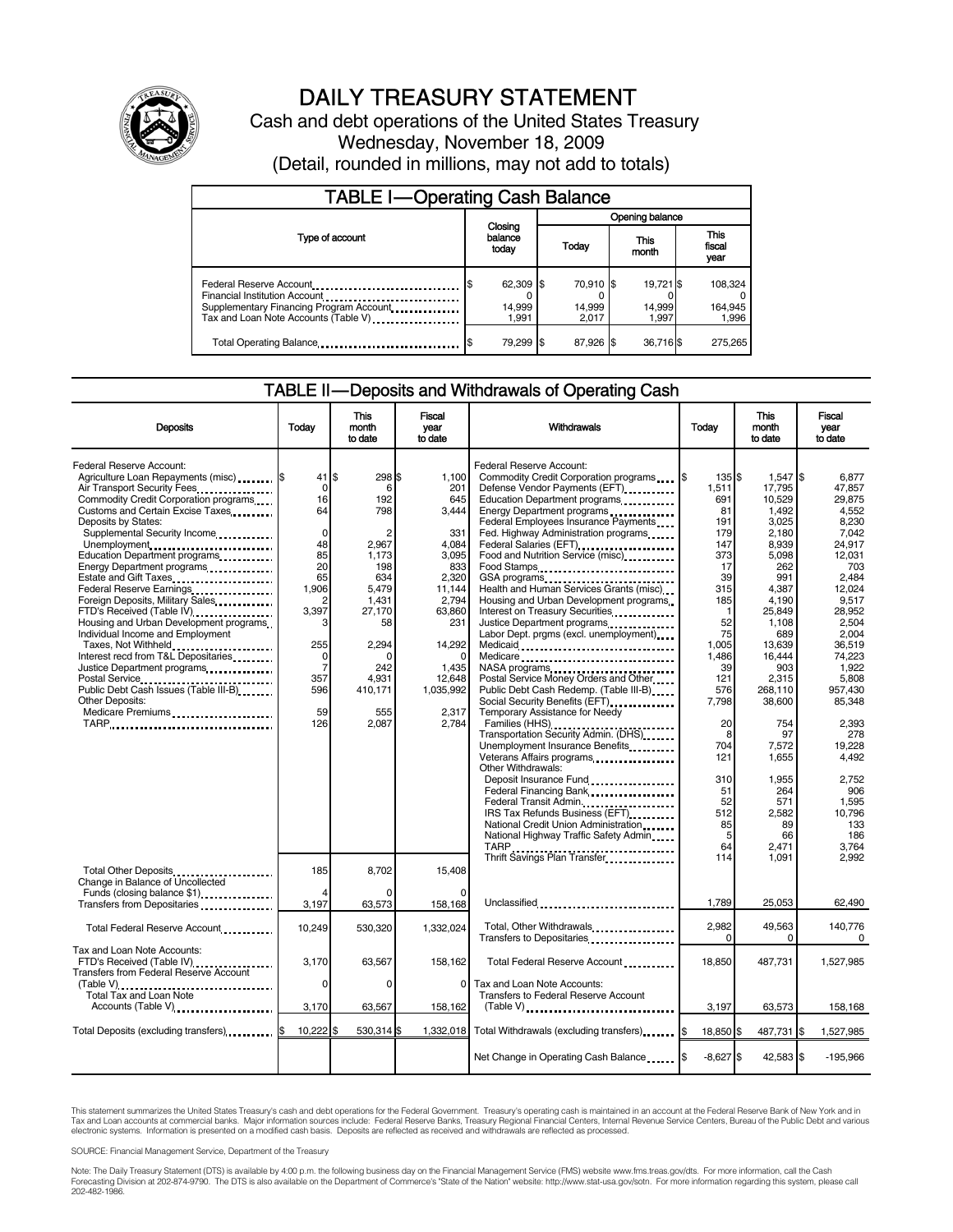

# DAILY TREASURY STATEMENT

Cash and debt operations of the United States Treasury Wednesday, November 18, 2009 (Detail, rounded in millions, may not add to totals)

| <b>TABLE I-Operating Cash Balance</b>                                                                                                        |                              |                              |                              |                               |  |  |  |  |
|----------------------------------------------------------------------------------------------------------------------------------------------|------------------------------|------------------------------|------------------------------|-------------------------------|--|--|--|--|
|                                                                                                                                              |                              | Opening balance              |                              |                               |  |  |  |  |
| Type of account                                                                                                                              | Closing<br>balance<br>today  | Today                        | This<br>month                | <b>This</b><br>fiscal<br>year |  |  |  |  |
| Federal Reserve Account<br>Financial Institution Account<br>Supplementary Financing Program Account.<br>Tax and Loan Note Accounts (Table V) | 62,309 \$<br>14,999<br>1.991 | 70.910 \$<br>14,999<br>2.017 | 19.721 \$<br>14,999<br>1.997 | 108,324<br>164,945<br>1,996   |  |  |  |  |
| Total Operating Balance                                                                                                                      | 79,299 \$                    | 87,926 \$                    | 36,716\$                     | 275.265                       |  |  |  |  |

#### TABLE II — Deposits and Withdrawals of Operating Cash

| <b>Deposits</b>                                                                                                                                                                                                                                                                                                                                                                                              | Todav                                                                                                        | This<br>month<br>to date                                                    | Fiscal<br>vear<br>to date                                                                | Withdrawals                                                                                                                                                                                                                                                                                                                                                                                                                                             | Todav                                                                              | This<br>month<br>to date                                                                                  | Fiscal<br>vear<br>to date                                                                                   |
|--------------------------------------------------------------------------------------------------------------------------------------------------------------------------------------------------------------------------------------------------------------------------------------------------------------------------------------------------------------------------------------------------------------|--------------------------------------------------------------------------------------------------------------|-----------------------------------------------------------------------------|------------------------------------------------------------------------------------------|---------------------------------------------------------------------------------------------------------------------------------------------------------------------------------------------------------------------------------------------------------------------------------------------------------------------------------------------------------------------------------------------------------------------------------------------------------|------------------------------------------------------------------------------------|-----------------------------------------------------------------------------------------------------------|-------------------------------------------------------------------------------------------------------------|
| Federal Reserve Account:<br>Agriculture Loan Repayments (misc)  S<br>Air Transport Security Fees<br>Commodity Credit Corporation programs<br>Customs and Certain Excise Taxes<br>Deposits by States:<br>Supplemental Security Income<br>Unemployment<br>Education Department programs<br>Energy Department programs<br>Estate and Gift Taxes<br>Federal Reserve Earnings<br>Foreign Deposits, Military Sales | $41$ $\frac{1}{3}$<br>$\Omega$<br>16<br>64<br>$\mathbf 0$<br>48<br>85<br>20<br>65<br>1,906<br>$\overline{c}$ | 298 \$<br>6<br>192<br>798<br>2.967<br>1,173<br>198<br>634<br>5,479<br>1,431 | 1,100<br>201<br>645<br>3,444<br>331<br>4.084<br>3,095<br>833<br>2,320<br>11.144<br>2,794 | Federal Reserve Account:<br>Commodity Credit Corporation programs \6<br>Defense Vendor Payments (EFT).<br>Education Department programs<br>Energy Department programs<br>Federal Employees Insurance Payments<br>Fed. Highway Administration programs<br>Federal Salaries (EFT)<br>Federal Salaries (EFT)<br>1<br>Food and Nutrition Service (misc)<br>Food Stamps<br>Health and Human Services Grants (misc)<br>Housing and Urban Development programs | 135 \$<br>1,511<br>691<br>81<br>191<br>179<br>147<br>373<br>17<br>39<br>315<br>185 | 1,547 \$<br>17,795<br>10,529<br>1,492<br>3,025<br>2,180<br>8.939<br>5,098<br>262<br>991<br>4.387<br>4,190 | 6.877<br>47.857<br>29.875<br>4,552<br>8,230<br>7.042<br>24.917<br>12,031<br>703<br>2.484<br>12.024<br>9,517 |
| FTD's Received (Table IV)<br>Housing and Urban Development programs<br>Individual Income and Employment<br>Taxes, Not Withheld<br>Interest recd from T&L Depositaries<br>Public Debt Cash Issues (Table III-B)<br>Other Deposits:<br>Medicare Premiums<br>TARP                                                                                                                                               | 3,397<br>3<br>255<br>0<br>$\overline{7}$<br>357<br>596<br>59<br>126                                          | 27,170<br>58<br>2,294<br>242<br>4.931<br>410,171<br>555<br>2,087            | 63,860<br>231<br>14,292<br>$\Omega$<br>1,435<br>12.648<br>1,035,992<br>2,317<br>2.784    | Interest on Treasury Securities<br>Justice Department programs<br>Labor Dept. prgms (excl. unemployment)<br>Medicaid<br>Medicare<br>NASA programs<br>Postal Service Money Orders and Other<br>Public Debt Cash Redemp. (Table III-B)<br>Temporary Assistance for Needy<br>Families (HHS)                                                                                                                                                                | 1<br>52<br>75<br>1,005<br>1,486<br>39<br>121<br>576<br>7,798<br>20                 | 25,849<br>1,108<br>689<br>13,639<br>16,444<br>903<br>2.315<br>268,110<br>38,600<br>754                    | 28,952<br>2.504<br>2.004<br>36,519<br>74,223<br>1.922<br>5.808<br>957,430<br>85,348<br>2.393                |
|                                                                                                                                                                                                                                                                                                                                                                                                              |                                                                                                              |                                                                             |                                                                                          | Transportation Security Admin. (DHS)<br>Unemployment Insurance Benefits<br>Veterans Affairs programs<br>x<br>Other Withdrawals:<br>Deposit Insurance Fund<br>Federal Financing Bank<br>Federal Transit Admin<br>IRS Tax Refunds Business (EFT)<br>National Credit Union Administration<br>National Highway Traffic Safety Admin.<br>TARP                                                                                                                | 8<br>704<br>121<br>310<br>51<br>52<br>512<br>85<br>5<br>64                         | 97<br>7,572<br>1,655<br>1,955<br>264<br>571<br>2,582<br>89<br>66<br>2,471                                 | 278<br>19,228<br>4,492<br>2,752<br>906<br>1,595<br>10.796<br>133<br>186<br>3.764                            |
| Total Other Deposits<br>Change in Balance of Uncollected<br>Funds (closing balance \$1)<br>Transfers from Depositaries                                                                                                                                                                                                                                                                                       | 185<br>3,197                                                                                                 | 8,702<br>63,573                                                             | 15.408<br>158,168                                                                        | Thrift Savings Plan Transfer<br>Unclassified                                                                                                                                                                                                                                                                                                                                                                                                            | 114<br>1.789                                                                       | 1.091<br>25.053                                                                                           | 2.992<br>62.490                                                                                             |
| Total Federal Reserve Account                                                                                                                                                                                                                                                                                                                                                                                | 10,249                                                                                                       | 530,320                                                                     | 1,332,024                                                                                | Total, Other Withdrawals<br>Transfers to Depositaries                                                                                                                                                                                                                                                                                                                                                                                                   | 2,982<br>$\Omega$                                                                  | 49,563<br>0                                                                                               | 140.776<br>$\Omega$                                                                                         |
| Tax and Loan Note Accounts:<br>FTD's Received (Table IV)<br>Transfers from Federal Reserve Account<br>(Table V)                                                                                                                                                                                                                                                                                              | 3,170<br>$\Omega$                                                                                            | 63,567<br>$\Omega$                                                          | 158,162<br>0                                                                             | Total Federal Reserve Account<br>Tax and Loan Note Accounts:                                                                                                                                                                                                                                                                                                                                                                                            | 18,850                                                                             | 487,731                                                                                                   | 1,527,985                                                                                                   |
| Total Tax and Loan Note<br>Accounts (Table V) <b>[19] Accounts</b> (Table V) <b>[19] Accounts</b> (Table V) <b>[19]</b>                                                                                                                                                                                                                                                                                      | 3,170                                                                                                        | 63,567                                                                      | 158,162                                                                                  | Transfers to Federal Reserve Account                                                                                                                                                                                                                                                                                                                                                                                                                    | 3,197                                                                              | 63,573                                                                                                    | 158,168                                                                                                     |
| Total Deposits (excluding transfers) [\$                                                                                                                                                                                                                                                                                                                                                                     | 10,222                                                                                                       | 530,314 \$                                                                  | 1,332,018                                                                                | Total Withdrawals (excluding transfers) [\$                                                                                                                                                                                                                                                                                                                                                                                                             | 18,850 \$                                                                          | 487,731                                                                                                   | 1,527,985<br>\$                                                                                             |
|                                                                                                                                                                                                                                                                                                                                                                                                              |                                                                                                              |                                                                             |                                                                                          |                                                                                                                                                                                                                                                                                                                                                                                                                                                         | $-8,627$ \$                                                                        | 42,583 \$                                                                                                 | $-195,966$                                                                                                  |

This statement summarizes the United States Treasury's cash and debt operations for the Federal Government. Treasury's operating cash is maintained in an account at the Federal Reserve Bank of New York and in<br>Tax and Loan

SOURCE: Financial Management Service, Department of the Treasury

Note: The Daily Treasury Statement (DTS) is available by 4:00 p.m. the following business day on the Financial Management Service (FMS) website www.fms.treas.gov/dts. For more information, call the Cash<br>Forecasting Divisio